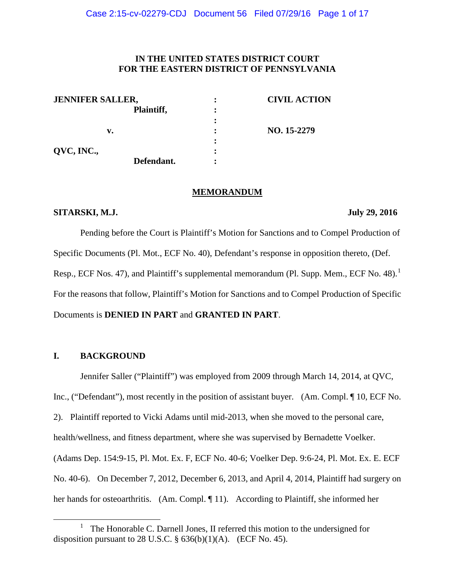## **IN THE UNITED STATES DISTRICT COURT FOR THE EASTERN DISTRICT OF PENNSYLVANIA**

| <b>JENNIFER SALLER,</b> |            | <b>CIVIL ACTION</b> |
|-------------------------|------------|---------------------|
|                         | Plaintiff, |                     |
|                         |            |                     |
| v.                      |            | NO. 15-2279         |
|                         |            |                     |
| QVC, INC.,              |            |                     |
|                         | Defendant. |                     |

#### **MEMORANDUM**

#### **SITARSKI, M.J.** July 29, 2016

Pending before the Court is Plaintiff's Motion for Sanctions and to Compel Production of Specific Documents (Pl. Mot., ECF No. 40), Defendant's response in opposition thereto, (Def. Resp., ECF Nos. 47), and Plaintiff's supplemental memorandum (Pl. Supp. Mem., ECF No. 48).<sup>[1](#page-0-0)</sup> For the reasons that follow, Plaintiff's Motion for Sanctions and to Compel Production of Specific Documents is **DENIED IN PART** and **GRANTED IN PART**.

## **I. BACKGROUND**

Jennifer Saller ("Plaintiff") was employed from 2009 through March 14, 2014, at QVC, Inc., ("Defendant"), most recently in the position of assistant buyer. (Am. Compl. ¶ 10, ECF No. 2). Plaintiff reported to Vicki Adams until mid-2013, when she moved to the personal care, health/wellness, and fitness department, where she was supervised by Bernadette Voelker. (Adams Dep. 154:9-15, Pl. Mot. Ex. F, ECF No. 40-6; Voelker Dep. 9:6-24, Pl. Mot. Ex. E. ECF No. 40-6). On December 7, 2012, December 6, 2013, and April 4, 2014, Plaintiff had surgery on her hands for osteoarthritis. (Am. Compl. ¶ 11). According to Plaintiff, she informed her

<span id="page-0-0"></span><sup>&</sup>lt;u>1</u> The Honorable C. Darnell Jones, II referred this motion to the undersigned for disposition pursuant to 28 U.S.C.  $\S$  636(b)(1)(A). (ECF No. 45).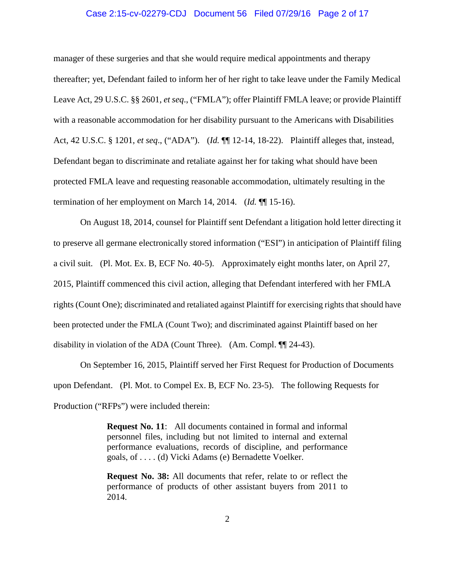### Case 2:15-cv-02279-CDJ Document 56 Filed 07/29/16 Page 2 of 17

manager of these surgeries and that she would require medical appointments and therapy thereafter; yet, Defendant failed to inform her of her right to take leave under the Family Medical Leave Act, 29 U.S.C. §§ 2601, *et seq*., ("FMLA"); offer Plaintiff FMLA leave; or provide Plaintiff with a reasonable accommodation for her disability pursuant to the Americans with Disabilities Act, 42 U.S.C. § 1201, *et seq*., ("ADA"). (*Id.* ¶¶ 12-14, 18-22). Plaintiff alleges that, instead, Defendant began to discriminate and retaliate against her for taking what should have been protected FMLA leave and requesting reasonable accommodation, ultimately resulting in the termination of her employment on March 14, 2014. (*Id.* ¶¶ 15-16).

On August 18, 2014, counsel for Plaintiff sent Defendant a litigation hold letter directing it to preserve all germane electronically stored information ("ESI") in anticipation of Plaintiff filing a civil suit. (Pl. Mot. Ex. B, ECF No. 40-5). Approximately eight months later, on April 27, 2015, Plaintiff commenced this civil action, alleging that Defendant interfered with her FMLA rights (Count One); discriminated and retaliated against Plaintiff for exercising rights that should have been protected under the FMLA (Count Two); and discriminated against Plaintiff based on her disability in violation of the ADA (Count Three). (Am. Compl. ¶¶ 24-43).

On September 16, 2015, Plaintiff served her First Request for Production of Documents upon Defendant. (Pl. Mot. to Compel Ex. B, ECF No. 23-5). The following Requests for Production ("RFPs") were included therein:

> **Request No. 11**: All documents contained in formal and informal personnel files, including but not limited to internal and external performance evaluations, records of discipline, and performance goals, of . . . . (d) Vicki Adams (e) Bernadette Voelker.

> **Request No. 38:** All documents that refer, relate to or reflect the performance of products of other assistant buyers from 2011 to 2014.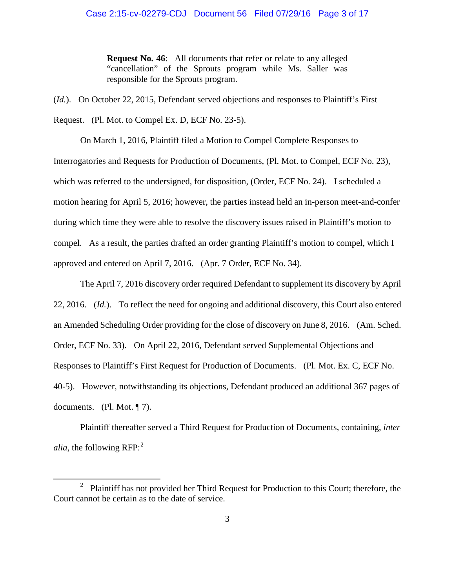**Request No. 46**: All documents that refer or relate to any alleged "cancellation" of the Sprouts program while Ms. Saller was responsible for the Sprouts program.

(*Id.*). On October 22, 2015, Defendant served objections and responses to Plaintiff's First Request. (Pl. Mot. to Compel Ex. D, ECF No. 23-5).

On March 1, 2016, Plaintiff filed a Motion to Compel Complete Responses to Interrogatories and Requests for Production of Documents, (Pl. Mot. to Compel, ECF No. 23), which was referred to the undersigned, for disposition, (Order, ECF No. 24). I scheduled a motion hearing for April 5, 2016; however, the parties instead held an in-person meet-and-confer during which time they were able to resolve the discovery issues raised in Plaintiff's motion to compel. As a result, the parties drafted an order granting Plaintiff's motion to compel, which I approved and entered on April 7, 2016. (Apr. 7 Order, ECF No. 34).

The April 7, 2016 discovery order required Defendant to supplement its discovery by April 22, 2016. (*Id.*). To reflect the need for ongoing and additional discovery, this Court also entered an Amended Scheduling Order providing for the close of discovery on June 8, 2016. (Am. Sched. Order, ECF No. 33). On April 22, 2016, Defendant served Supplemental Objections and Responses to Plaintiff's First Request for Production of Documents. (Pl. Mot. Ex. C, ECF No. 40-5). However, notwithstanding its objections, Defendant produced an additional 367 pages of documents. (Pl. Mot. ¶ 7).

Plaintiff thereafter served a Third Request for Production of Documents, containing, *inter alia*, the following RFP: [2](#page-2-0)

<span id="page-2-0"></span><sup>&</sup>lt;sup>2</sup> Plaintiff has not provided her Third Request for Production to this Court; therefore, the Court cannot be certain as to the date of service.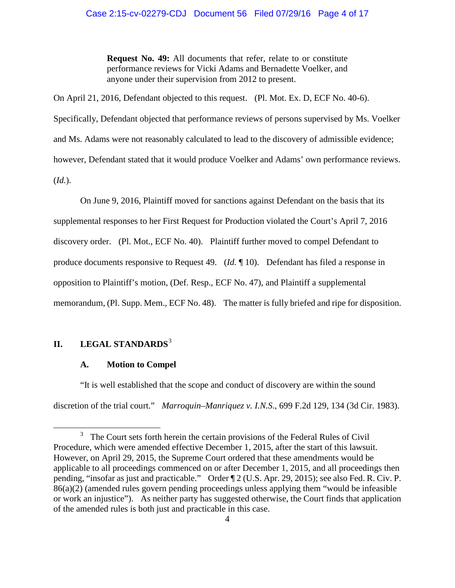**Request No. 49:** All documents that refer, relate to or constitute performance reviews for Vicki Adams and Bernadette Voelker, and anyone under their supervision from 2012 to present.

On April 21, 2016, Defendant objected to this request. (Pl. Mot. Ex. D, ECF No. 40-6). Specifically, Defendant objected that performance reviews of persons supervised by Ms. Voelker and Ms. Adams were not reasonably calculated to lead to the discovery of admissible evidence; however, Defendant stated that it would produce Voelker and Adams' own performance reviews. (*Id.*).

On June 9, 2016, Plaintiff moved for sanctions against Defendant on the basis that its supplemental responses to her First Request for Production violated the Court's April 7, 2016 discovery order. (Pl. Mot., ECF No. 40). Plaintiff further moved to compel Defendant to produce documents responsive to Request 49. (*Id.* ¶ 10). Defendant has filed a response in opposition to Plaintiff's motion, (Def. Resp., ECF No. 47), and Plaintiff a supplemental memorandum, (Pl. Supp. Mem., ECF No. 48). The matter is fully briefed and ripe for disposition.

# **II. LEGAL STANDARDS**[3](#page-3-0)

#### **A. Motion to Compel**

"It is well established that the scope and conduct of discovery are within the sound discretion of the trial court." *Marroquin–Manriquez v. I.N.S*., 699 F.2d 129, 134 (3d Cir. 1983).

<span id="page-3-0"></span><sup>&</sup>lt;sup>3</sup> The Court sets forth herein the certain provisions of the Federal Rules of Civil Procedure, which were amended effective December 1, 2015, after the start of this lawsuit. However, on April 29, 2015, the Supreme Court ordered that these amendments would be applicable to all proceedings commenced on or after December 1, 2015, and all proceedings then pending, "insofar as just and practicable." Order ¶ 2 (U.S. Apr. 29, 2015); see also Fed. R. Civ. P. 86(a)(2) (amended rules govern pending proceedings unless applying them "would be infeasible or work an injustice"). As neither party has suggested otherwise, the Court finds that application of the amended rules is both just and practicable in this case.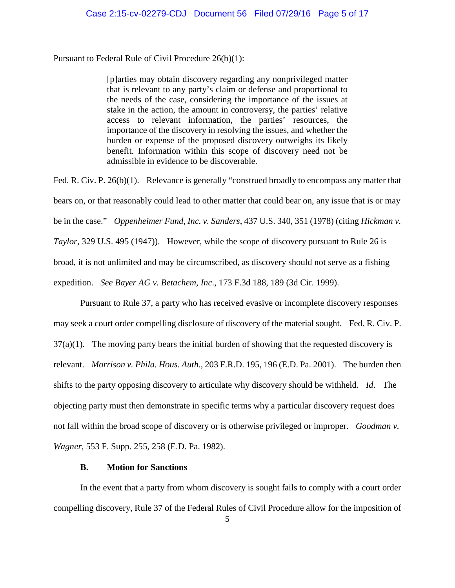Pursuant to Federal Rule of Civil Procedure 26(b)(1):

[p]arties may obtain discovery regarding any nonprivileged matter that is relevant to any party's claim or defense and proportional to the needs of the case, considering the importance of the issues at stake in the action, the amount in controversy, the parties' relative access to relevant information, the parties' resources, the importance of the discovery in resolving the issues, and whether the burden or expense of the proposed discovery outweighs its likely benefit. Information within this scope of discovery need not be admissible in evidence to be discoverable.

Fed. R. Civ. P. 26(b)(1). Relevance is generally "construed broadly to encompass any matter that bears on, or that reasonably could lead to other matter that could bear on, any issue that is or may be in the case." *[Oppenheimer Fund, Inc. v. Sanders](https://1.next.westlaw.com/Link/Document/FullText?findType=Y&serNum=1978139484&pubNum=0000708&originatingDoc=I688ac7108e8811e59a139b8f80c70067&refType=RP&fi=co_pp_sp_708_2389&originationContext=document&transitionType=DocumentItem&contextData=%28sc.Keycite%29#co_pp_sp_708_2389)*, 437 U.S. 340, 351 (1978) (citing *Hickman v. Taylor*, 329 U.S. 495 (1947)). However, while the scope of discovery pursuant to Rule 26 is broad, it is not unlimited and may be circumscribed, as discovery should not serve as a fishing expedition. *See Bayer AG v. Betachem, Inc*., 173 F.3d 188, 189 (3d Cir. 1999).

Pursuant to Rule 37, a party who has received evasive or incomplete discovery responses may seek a court order compelling disclosure of discovery of the material sought. Fed. R. Civ. P.  $37(a)(1)$ . The moving party bears the initial burden of showing that the requested discovery is relevant. *Morrison v. Phila. Hous. Auth*., 203 F.R.D. 195, 196 (E.D. Pa. 2001). The burden then shifts to the party opposing discovery to articulate why discovery should be withheld. *Id*. The objecting party must then demonstrate in specific terms why a particular discovery request does not fall within the broad scope of discovery or is otherwise privileged or improper. *Goodman v. Wagner*, 553 F. Supp. 255, 258 (E.D. Pa. 1982).

### **B. Motion for Sanctions**

In the event that a party from whom discovery is sought fails to comply with a court order compelling discovery, Rule 37 of the Federal Rules of Civil Procedure allow for the imposition of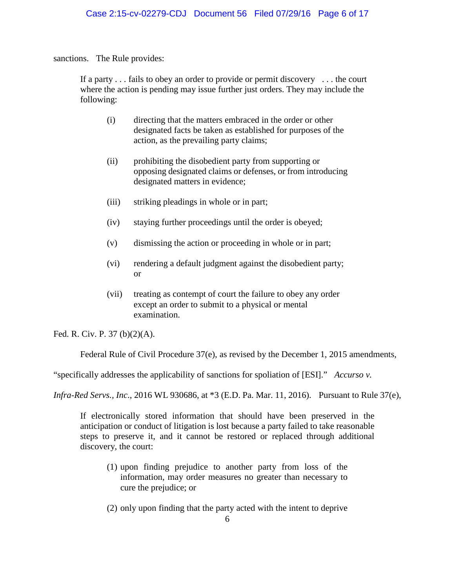sanctions. The Rule provides:

If a party . . . fails to obey an order to provide or permit discovery . . . the court where the action is pending may issue further just orders. They may include the following:

- (i) directing that the matters embraced in the order or other designated facts be taken as established for purposes of the action, as the prevailing party claims;
- (ii) prohibiting the disobedient party from supporting or opposing designated claims or defenses, or from introducing designated matters in evidence;
- (iii) striking pleadings in whole or in part;
- (iv) staying further proceedings until the order is obeyed;
- (v) dismissing the action or proceeding in whole or in part;
- (vi) rendering a default judgment against the disobedient party; or
- (vii) treating as contempt of court the failure to obey any order except an order to submit to a physical or mental examination.

Fed. R. Civ. P. 37 (b)(2)(A).

Federal Rule of Civil Procedure 37(e), as revised by the December 1, 2015 amendments,

"specifically addresses the applicability of sanctions for spoliation of [ESI]." *Accurso v.* 

*Infra-Red Servs., Inc*., 2016 WL 930686, at \*3 (E.D. Pa. Mar. 11, 2016). Pursuant to Rule 37(e),

If electronically stored information that should have been preserved in the anticipation or conduct of litigation is lost because a party failed to take reasonable steps to preserve it, and it cannot be restored or replaced through additional discovery, the court:

- (1) upon finding prejudice to another party from loss of the information, may order measures no greater than necessary to cure the prejudice; or
- (2) only upon finding that the party acted with the intent to deprive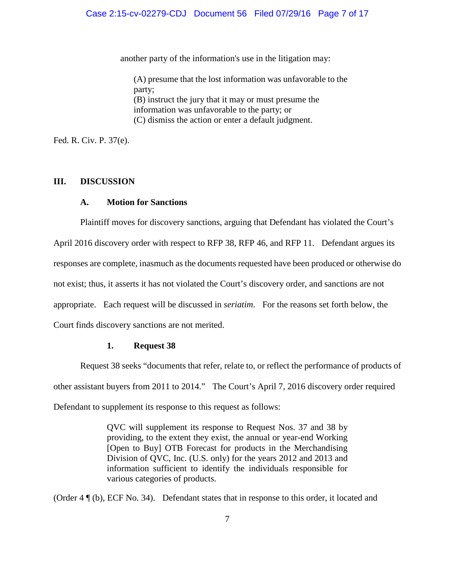another party of the information's use in the litigation may:

(A) presume that the lost information was unfavorable to the party; (B) instruct the jury that it may or must presume the information was unfavorable to the party; or (C) dismiss the action or enter a default judgment.

Fed. R. Civ. P. 37(e).

#### **III. DISCUSSION**

#### **A. Motion for Sanctions**

Plaintiff moves for discovery sanctions, arguing that Defendant has violated the Court's

April 2016 discovery order with respect to RFP 38, RFP 46, and RFP 11. Defendant argues its

responses are complete, inasmuch as the documents requested have been produced or otherwise do

not exist; thus, it asserts it has not violated the Court's discovery order, and sanctions are not

appropriate. Each request will be discussed in *seriatim*. For the reasons set forth below, the

Court finds discovery sanctions are not merited.

## **1. Request 38**

Request 38 seeks "documents that refer, relate to, or reflect the performance of products of other assistant buyers from 2011 to 2014." The Court's April 7, 2016 discovery order required Defendant to supplement its response to this request as follows:

> QVC will supplement its response to Request Nos. 37 and 38 by providing, to the extent they exist, the annual or year-end Working [Open to Buy] OTB Forecast for products in the Merchandising Division of QVC, Inc. (U.S. only) for the years 2012 and 2013 and information sufficient to identify the individuals responsible for various categories of products.

(Order 4 ¶ (b), ECF No. 34). Defendant states that in response to this order, it located and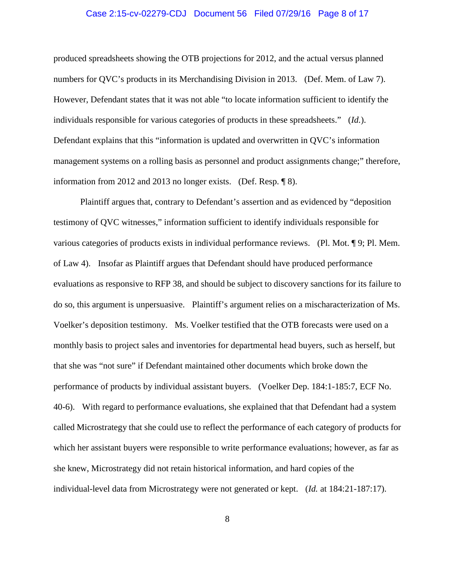#### Case 2:15-cv-02279-CDJ Document 56 Filed 07/29/16 Page 8 of 17

produced spreadsheets showing the OTB projections for 2012, and the actual versus planned numbers for QVC's products in its Merchandising Division in 2013. (Def. Mem. of Law 7). However, Defendant states that it was not able "to locate information sufficient to identify the individuals responsible for various categories of products in these spreadsheets." (*Id.*). Defendant explains that this "information is updated and overwritten in QVC's information management systems on a rolling basis as personnel and product assignments change;" therefore, information from 2012 and 2013 no longer exists. (Def. Resp. ¶ 8).

Plaintiff argues that, contrary to Defendant's assertion and as evidenced by "deposition testimony of QVC witnesses," information sufficient to identify individuals responsible for various categories of products exists in individual performance reviews. (Pl. Mot. ¶ 9; Pl. Mem. of Law 4). Insofar as Plaintiff argues that Defendant should have produced performance evaluations as responsive to RFP 38, and should be subject to discovery sanctions for its failure to do so, this argument is unpersuasive. Plaintiff's argument relies on a mischaracterization of Ms. Voelker's deposition testimony. Ms. Voelker testified that the OTB forecasts were used on a monthly basis to project sales and inventories for departmental head buyers, such as herself, but that she was "not sure" if Defendant maintained other documents which broke down the performance of products by individual assistant buyers. (Voelker Dep. 184:1-185:7, ECF No. 40-6). With regard to performance evaluations, she explained that that Defendant had a system called Microstrategy that she could use to reflect the performance of each category of products for which her assistant buyers were responsible to write performance evaluations; however, as far as she knew, Microstrategy did not retain historical information, and hard copies of the individual-level data from Microstrategy were not generated or kept. (*Id.* at 184:21-187:17).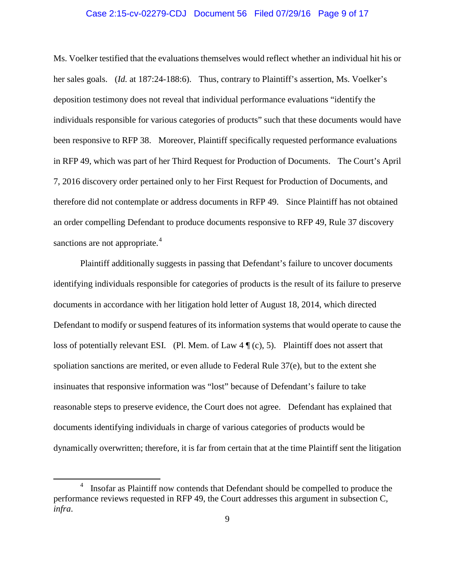#### Case 2:15-cv-02279-CDJ Document 56 Filed 07/29/16 Page 9 of 17

Ms. Voelker testified that the evaluations themselves would reflect whether an individual hit his or her sales goals. (*Id.* at 187:24-188:6). Thus, contrary to Plaintiff's assertion, Ms. Voelker's deposition testimony does not reveal that individual performance evaluations "identify the individuals responsible for various categories of products" such that these documents would have been responsive to RFP 38. Moreover, Plaintiff specifically requested performance evaluations in RFP 49, which was part of her Third Request for Production of Documents. The Court's April 7, 2016 discovery order pertained only to her First Request for Production of Documents, and therefore did not contemplate or address documents in RFP 49. Since Plaintiff has not obtained an order compelling Defendant to produce documents responsive to RFP 49, Rule 37 discovery sanctions are not appropriate.<sup>[4](#page-8-0)</sup>

Plaintiff additionally suggests in passing that Defendant's failure to uncover documents identifying individuals responsible for categories of products is the result of its failure to preserve documents in accordance with her litigation hold letter of August 18, 2014, which directed Defendant to modify or suspend features of its information systems that would operate to cause the loss of potentially relevant ESI. (Pl. Mem. of Law  $4 \P(c)$ , 5). Plaintiff does not assert that spoliation sanctions are merited, or even allude to Federal Rule 37(e), but to the extent she insinuates that responsive information was "lost" because of Defendant's failure to take reasonable steps to preserve evidence, the Court does not agree. Defendant has explained that documents identifying individuals in charge of various categories of products would be dynamically overwritten; therefore, it is far from certain that at the time Plaintiff sent the litigation

<span id="page-8-0"></span> $\frac{1}{4}$  Insofar as Plaintiff now contends that Defendant should be compelled to produce the performance reviews requested in RFP 49, the Court addresses this argument in subsection C, *infra*.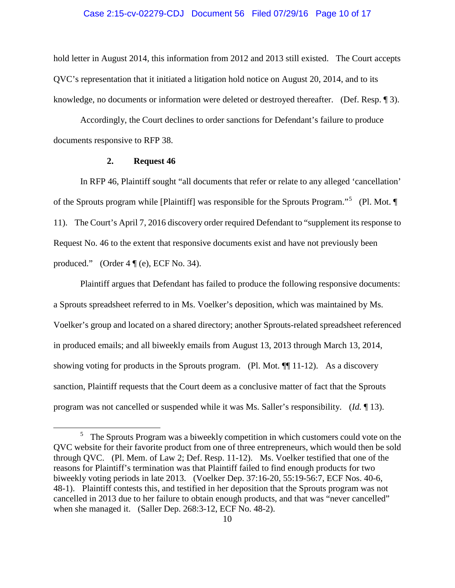#### Case 2:15-cv-02279-CDJ Document 56 Filed 07/29/16 Page 10 of 17

hold letter in August 2014, this information from 2012 and 2013 still existed. The Court accepts QVC's representation that it initiated a litigation hold notice on August 20, 2014, and to its knowledge, no documents or information were deleted or destroyed thereafter. (Def. Resp. ¶ 3).

Accordingly, the Court declines to order sanctions for Defendant's failure to produce documents responsive to RFP 38.

#### **2. Request 46**

In RFP 46, Plaintiff sought "all documents that refer or relate to any alleged 'cancellation' of the Sprouts program while [Plaintiff] was responsible for the Sprouts Program."<sup>[5](#page-9-0)</sup> (Pl. Mot. ¶ 11). The Court's April 7, 2016 discovery order required Defendant to "supplement its response to Request No. 46 to the extent that responsive documents exist and have not previously been produced." (Order  $4 \sqrt{\ }$  (e), ECF No. 34).

Plaintiff argues that Defendant has failed to produce the following responsive documents: a Sprouts spreadsheet referred to in Ms. Voelker's deposition, which was maintained by Ms. Voelker's group and located on a shared directory; another Sprouts-related spreadsheet referenced in produced emails; and all biweekly emails from August 13, 2013 through March 13, 2014, showing voting for products in the Sprouts program. (Pl. Mot. ¶¶ 11-12). As a discovery sanction, Plaintiff requests that the Court deem as a conclusive matter of fact that the Sprouts program was not cancelled or suspended while it was Ms. Saller's responsibility. (*Id.* ¶ 13).

<span id="page-9-0"></span><sup>&</sup>lt;sup>5</sup> The Sprouts Program was a biweekly competition in which customers could vote on the QVC website for their favorite product from one of three entrepreneurs, which would then be sold through QVC. (Pl. Mem. of Law 2; Def. Resp. 11-12). Ms. Voelker testified that one of the reasons for Plaintiff's termination was that Plaintiff failed to find enough products for two biweekly voting periods in late 2013. (Voelker Dep. 37:16-20, 55:19-56:7, ECF Nos. 40-6, 48-1). Plaintiff contests this, and testified in her deposition that the Sprouts program was not cancelled in 2013 due to her failure to obtain enough products, and that was "never cancelled" when she managed it. (Saller Dep. 268:3-12, ECF No. 48-2).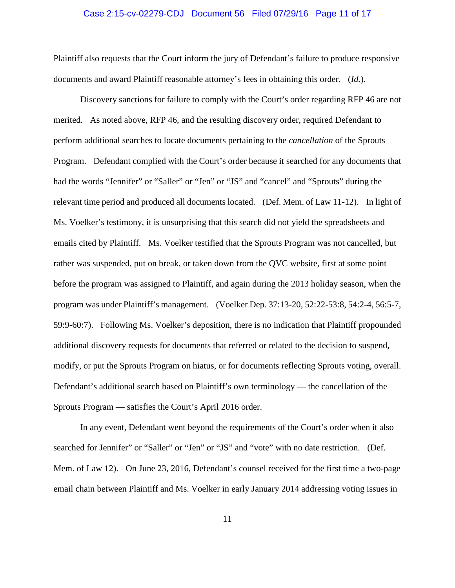#### Case 2:15-cv-02279-CDJ Document 56 Filed 07/29/16 Page 11 of 17

Plaintiff also requests that the Court inform the jury of Defendant's failure to produce responsive documents and award Plaintiff reasonable attorney's fees in obtaining this order. (*Id.*).

Discovery sanctions for failure to comply with the Court's order regarding RFP 46 are not merited. As noted above, RFP 46, and the resulting discovery order, required Defendant to perform additional searches to locate documents pertaining to the *cancellation* of the Sprouts Program. Defendant complied with the Court's order because it searched for any documents that had the words "Jennifer" or "Saller" or "Jen" or "JS" and "cancel" and "Sprouts" during the relevant time period and produced all documents located. (Def. Mem. of Law 11-12). In light of Ms. Voelker's testimony, it is unsurprising that this search did not yield the spreadsheets and emails cited by Plaintiff. Ms. Voelker testified that the Sprouts Program was not cancelled, but rather was suspended, put on break, or taken down from the QVC website, first at some point before the program was assigned to Plaintiff, and again during the 2013 holiday season, when the program was under Plaintiff's management. (Voelker Dep. 37:13-20, 52:22-53:8, 54:2-4, 56:5-7, 59:9-60:7). Following Ms. Voelker's deposition, there is no indication that Plaintiff propounded additional discovery requests for documents that referred or related to the decision to suspend, modify, or put the Sprouts Program on hiatus, or for documents reflecting Sprouts voting, overall. Defendant's additional search based on Plaintiff's own terminology — the cancellation of the Sprouts Program — satisfies the Court's April 2016 order.

In any event, Defendant went beyond the requirements of the Court's order when it also searched for Jennifer" or "Saller" or "Jen" or "JS" and "vote" with no date restriction. (Def. Mem. of Law 12). On June 23, 2016, Defendant's counsel received for the first time a two-page email chain between Plaintiff and Ms. Voelker in early January 2014 addressing voting issues in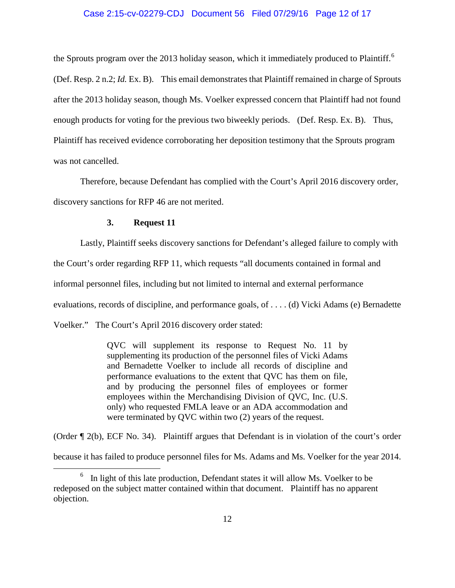#### Case 2:15-cv-02279-CDJ Document 56 Filed 07/29/16 Page 12 of 17

the Sprouts program over the 2013 holiday season, which it immediately produced to Plaintiff.<sup>[6](#page-11-0)</sup> (Def. Resp. 2 n.2; *Id.* Ex. B). This email demonstrates that Plaintiff remained in charge of Sprouts after the 2013 holiday season, though Ms. Voelker expressed concern that Plaintiff had not found enough products for voting for the previous two biweekly periods. (Def. Resp. Ex. B). Thus, Plaintiff has received evidence corroborating her deposition testimony that the Sprouts program was not cancelled.

Therefore, because Defendant has complied with the Court's April 2016 discovery order, discovery sanctions for RFP 46 are not merited.

#### **3. Request 11**

Lastly, Plaintiff seeks discovery sanctions for Defendant's alleged failure to comply with the Court's order regarding RFP 11, which requests "all documents contained in formal and informal personnel files, including but not limited to internal and external performance evaluations, records of discipline, and performance goals, of . . . . (d) Vicki Adams (e) Bernadette Voelker." The Court's April 2016 discovery order stated:

> QVC will supplement its response to Request No. 11 by supplementing its production of the personnel files of Vicki Adams and Bernadette Voelker to include all records of discipline and performance evaluations to the extent that QVC has them on file, and by producing the personnel files of employees or former employees within the Merchandising Division of QVC, Inc. (U.S. only) who requested FMLA leave or an ADA accommodation and were terminated by QVC within two (2) years of the request.

(Order ¶ 2(b), ECF No. 34). Plaintiff argues that Defendant is in violation of the court's order because it has failed to produce personnel files for Ms. Adams and Ms. Voelker for the year 2014.

<span id="page-11-0"></span> $6\,\,$  In light of this late production, Defendant states it will allow Ms. Voelker to be redeposed on the subject matter contained within that document. Plaintiff has no apparent objection.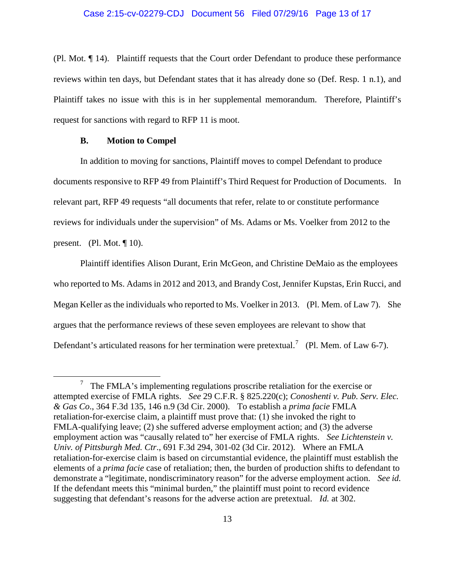#### Case 2:15-cv-02279-CDJ Document 56 Filed 07/29/16 Page 13 of 17

(Pl. Mot. ¶ 14). Plaintiff requests that the Court order Defendant to produce these performance reviews within ten days, but Defendant states that it has already done so (Def. Resp. 1 n.1), and Plaintiff takes no issue with this is in her supplemental memorandum. Therefore, Plaintiff's request for sanctions with regard to RFP 11 is moot.

## **B. Motion to Compel**

In addition to moving for sanctions, Plaintiff moves to compel Defendant to produce documents responsive to RFP 49 from Plaintiff's Third Request for Production of Documents. In relevant part, RFP 49 requests "all documents that refer, relate to or constitute performance reviews for individuals under the supervision" of Ms. Adams or Ms. Voelker from 2012 to the present. (Pl. Mot.  $\P$  10).

Plaintiff identifies Alison Durant, Erin McGeon, and Christine DeMaio as the employees who reported to Ms. Adams in 2012 and 2013, and Brandy Cost, Jennifer Kupstas, Erin Rucci, and Megan Keller as the individuals who reported to Ms. Voelker in 2013. (Pl. Mem. of Law 7). She argues that the performance reviews of these seven employees are relevant to show that Defendant's articulated reasons for her termination were pretextual.<sup>[7](#page-12-0)</sup> (Pl. Mem. of Law 6-7).

<span id="page-12-0"></span> $\frac{7}{1}$  The FMLA's implementing regulations proscribe retaliation for the exercise or attempted exercise of FMLA rights. *See* 29 C.F.R. § 825.220(c); *Conoshenti v. Pub. Serv. Elec. & Gas Co*., 364 F.3d 135, 146 n.9 (3d Cir. 2000). To establish a *prima facie* FMLA retaliation-for-exercise claim, a plaintiff must prove that: (1) she invoked the right to FMLA-qualifying leave; (2) she suffered adverse employment action; and (3) the adverse employment action was "causally related to" her exercise of FMLA rights. *See Lichtenstein v. Univ. of Pittsburgh Med. Ctr*., 691 F.3d 294, 301-02 (3d Cir. 2012). Where an FMLA retaliation-for-exercise claim is based on circumstantial evidence, the plaintiff must establish the elements of a *prima facie* case of retaliation; then, the burden of production shifts to defendant to demonstrate a "legitimate, nondiscriminatory reason" for the adverse employment action. *See id.*  If the defendant meets this "minimal burden," the plaintiff must point to record evidence suggesting that defendant's reasons for the adverse action are pretextual. *Id.* at 302.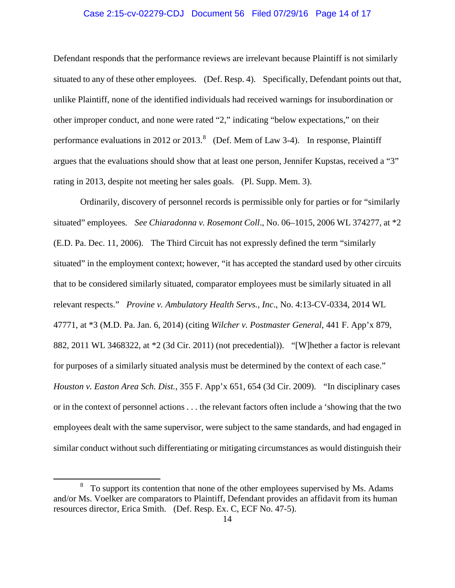#### Case 2:15-cv-02279-CDJ Document 56 Filed 07/29/16 Page 14 of 17

Defendant responds that the performance reviews are irrelevant because Plaintiff is not similarly situated to any of these other employees. (Def. Resp. 4). Specifically, Defendant points out that, unlike Plaintiff, none of the identified individuals had received warnings for insubordination or other improper conduct, and none were rated "2," indicating "below expectations," on their performance evaluations in 2012 or 2013.<sup>[8](#page-13-0)</sup> (Def. Mem of Law 3-4). In response, Plaintiff argues that the evaluations should show that at least one person, Jennifer Kupstas, received a "3" rating in 2013, despite not meeting her sales goals. (Pl. Supp. Mem. 3).

Ordinarily, discovery of personnel records is permissible only for parties or for "similarly situated" employees*. See Chiaradonna v. Rosemont Coll*., No. 06–1015, 2006 WL 374277, at \*2 (E.D. Pa. Dec. 11, 2006). The Third Circuit has not expressly defined the term "similarly situated" in the employment context; however, "it has accepted the standard used by other circuits that to be considered similarly situated, comparator employees must be similarly situated in all relevant respects." *Provine v. Ambulatory Health Servs., Inc*., No. 4:13-CV-0334, 2014 WL 47771, at \*3 (M.D. Pa. Jan. 6, 2014) (citing *Wilcher v. Postmaster General*, 441 F. App'x 879, 882, 2011 WL 3468322, at \*2 (3d Cir. 2011) (not precedential)). "[W]hether a factor is relevant for purposes of a similarly situated analysis must be determined by the context of each case." *Houston v. Easton Area Sch. Dist.*, 355 F. App'x 651, 654 (3d Cir. 2009). "In disciplinary cases or in the context of personnel actions . . . the relevant factors often include a 'showing that the two employees dealt with the same supervisor, were subject to the same standards, and had engaged in similar conduct without such differentiating or mitigating circumstances as would distinguish their

<span id="page-13-0"></span><sup>&</sup>lt;sup>8</sup> To support its contention that none of the other employees supervised by Ms. Adams and/or Ms. Voelker are comparators to Plaintiff, Defendant provides an affidavit from its human resources director, Erica Smith. (Def. Resp. Ex. C, ECF No. 47-5).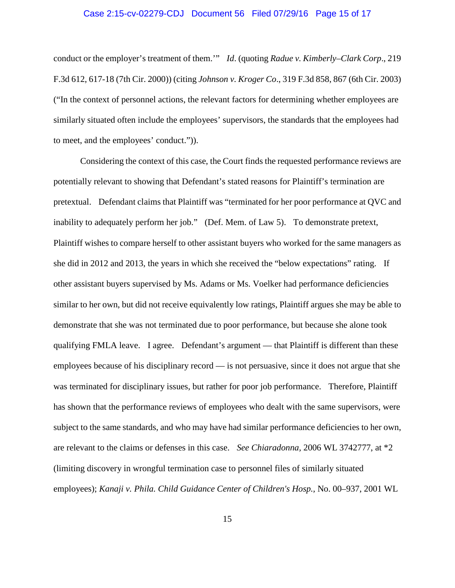#### Case 2:15-cv-02279-CDJ Document 56 Filed 07/29/16 Page 15 of 17

conduct or the employer's treatment of them.'" *Id*. (quoting *Radue v. Kimberly–Clark Corp*., 219 F.3d 612, 617-18 (7th Cir. 2000)) (citing *Johnson v. Kroger Co*., 319 F.3d 858, 867 (6th Cir. 2003) ("In the context of personnel actions, the relevant factors for determining whether employees are similarly situated often include the employees' supervisors, the standards that the employees had to meet, and the employees' conduct.")).

Considering the context of this case, the Court finds the requested performance reviews are potentially relevant to showing that Defendant's stated reasons for Plaintiff's termination are pretextual. Defendant claims that Plaintiff was "terminated for her poor performance at QVC and inability to adequately perform her job." (Def. Mem. of Law 5). To demonstrate pretext, Plaintiff wishes to compare herself to other assistant buyers who worked for the same managers as she did in 2012 and 2013, the years in which she received the "below expectations" rating. If other assistant buyers supervised by Ms. Adams or Ms. Voelker had performance deficiencies similar to her own, but did not receive equivalently low ratings, Plaintiff argues she may be able to demonstrate that she was not terminated due to poor performance, but because she alone took qualifying FMLA leave. I agree. Defendant's argument — that Plaintiff is different than these employees because of his disciplinary record — is not persuasive, since it does not argue that she was terminated for disciplinary issues, but rather for poor job performance. Therefore, Plaintiff has shown that the performance reviews of employees who dealt with the same supervisors, were subject to the same standards, and who may have had similar performance deficiencies to her own, are relevant to the claims or defenses in this case. *See Chiaradonna,* 2006 WL 3742777, at \*2 (limiting discovery in wrongful termination case to personnel files of similarly situated employees); *Kanaji v. Phila. Child Guidance Center of Children's Hosp.,* No. 00–937, 2001 WL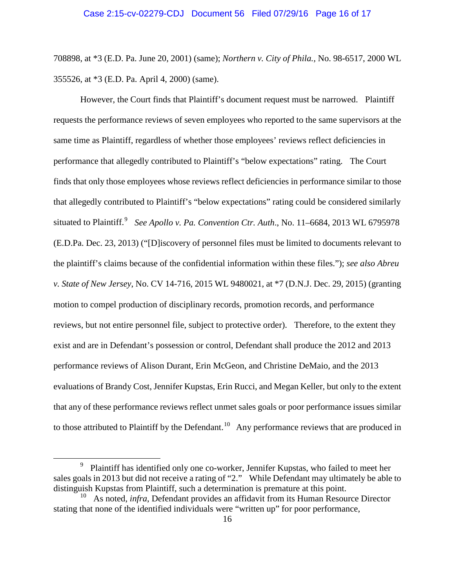708898, at \*3 (E.D. Pa. June 20, 2001) (same); *Northern v. City of Phila.,* No. 98-6517, 2000 WL 355526, at \*3 (E.D. Pa. April 4, 2000) (same).

However, the Court finds that Plaintiff's document request must be narrowed. Plaintiff requests the performance reviews of seven employees who reported to the same supervisors at the same time as Plaintiff, regardless of whether those employees' reviews reflect deficiencies in performance that allegedly contributed to Plaintiff's "below expectations" rating. The Court finds that only those employees whose reviews reflect deficiencies in performance similar to those that allegedly contributed to Plaintiff's "below expectations" rating could be considered similarly situated to Plaintiff.<sup>[9](#page-15-0)</sup> See Apollo v. Pa. Convention Ctr. Auth., No. 11–6684, 2013 WL 6795978 (E.D.Pa. Dec. 23, 2013) ("[D]iscovery of personnel files must be limited to documents relevant to the plaintiff's claims because of the confidential information within these files."); *see also Abreu v. State of New Jersey*, No. CV 14-716, 2015 WL 9480021, at \*7 (D.N.J. Dec. 29, 2015) (granting motion to compel production of disciplinary records, promotion records, and performance reviews, but not entire personnel file, subject to protective order). Therefore, to the extent they exist and are in Defendant's possession or control, Defendant shall produce the 2012 and 2013 performance reviews of Alison Durant, Erin McGeon, and Christine DeMaio, and the 2013 evaluations of Brandy Cost, Jennifer Kupstas, Erin Rucci, and Megan Keller, but only to the extent that any of these performance reviews reflect unmet sales goals or poor performance issues similar to those attributed to Plaintiff by the Defendant.<sup>[10](#page-15-1)</sup> Any performance reviews that are produced in

<span id="page-15-0"></span> $\frac{1}{9}$  Plaintiff has identified only one co-worker, Jennifer Kupstas, who failed to meet her sales goals in 2013 but did not receive a rating of "2." While Defendant may ultimately be able to distinguish Kupstas from Plaintiff, such a determination is premature at this point.

<span id="page-15-1"></span><sup>10</sup> As noted, *infra*, Defendant provides an affidavit from its Human Resource Director stating that none of the identified individuals were "written up" for poor performance,